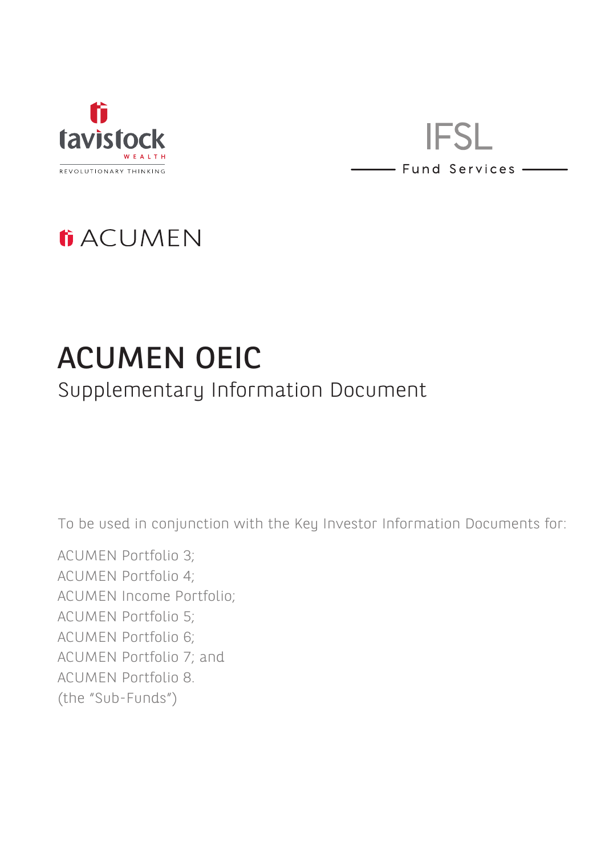

**IFSL** - Fund Services -

## **ti ACUMEN**

# ACUMEN OEIC Supplementary Information Document

To be used in conjunction with the Key Investor Information Documents for:

ACUMEN Portfolio 3; ACUMEN Portfolio 4; ACUMEN Income Portfolio; ACUMEN Portfolio 5; ACUMEN Portfolio 6; ACUMEN Portfolio 7; and ACUMEN Portfolio 8. (the "Sub-Funds")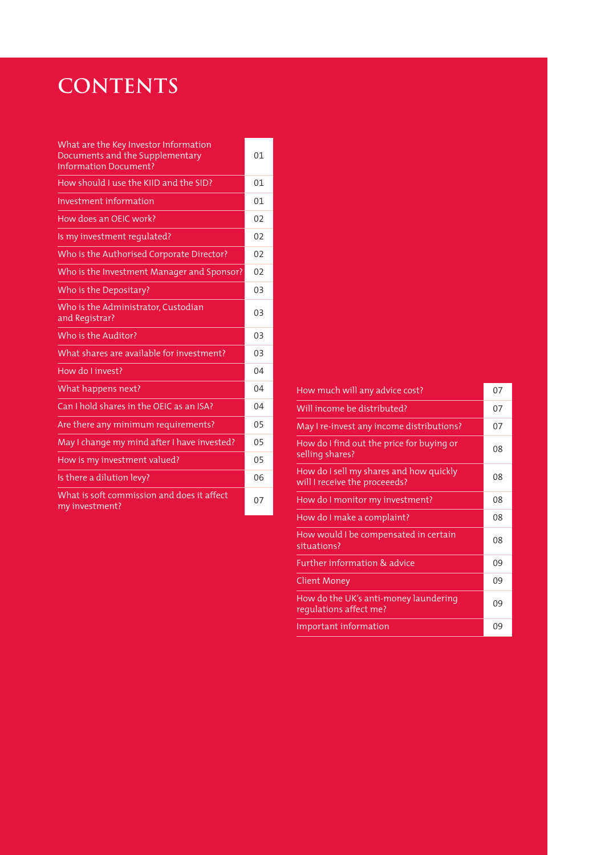### **CONTENTS**

| What are the Key Investor Information<br>Documents and the Supplementary<br><b>Information Document?</b> | 01             |
|----------------------------------------------------------------------------------------------------------|----------------|
| How should I use the KIID and the SID?                                                                   | 01             |
| Investment information                                                                                   | 01             |
| How does an OEIC work?                                                                                   | 02             |
| Is my investment requlated?                                                                              | 02             |
| Who is the Authorised Corporate Director?                                                                | 02             |
| Who is the Investment Manager and Sponsor?                                                               | 0 <sub>2</sub> |
| Who is the Depositary?                                                                                   | 03             |
| Who is the Administrator, Custodian<br>and Registrar?                                                    | 03             |
| Who is the Auditor?                                                                                      | 03             |
| What shares are available for investment?                                                                | 03             |
| How do I invest?                                                                                         | 04             |
| What happens next?                                                                                       | 04             |
| Can I hold shares in the OEIC as an ISA?                                                                 | 04             |
| Are there any minimum requirements?                                                                      | 05             |
| May I change my mind after I have invested?                                                              | 05             |
| How is my investment valued?                                                                             | 05             |
| Is there a dilution levy?                                                                                | 06             |
| What is soft commission and does it affect<br>my investment?                                             | 07             |

| How much will any advice cost?                                           | 07 |
|--------------------------------------------------------------------------|----|
| Will income be distributed?                                              | 07 |
| May I re-invest any income distributions?                                | 07 |
| How do I find out the price for buying or<br>selling shares?             | 08 |
| How do I sell my shares and how quickly<br>will I receive the proceeeds? | 08 |
| How do I monitor my investment?                                          | 08 |
| How do I make a complaint?                                               | 08 |
| How would I be compensated in certain<br>situations?                     | 08 |
| Further information & advice                                             | 09 |
| Client Money                                                             | 09 |
| How do the UK's anti-money laundering<br>requlations affect me?          | 09 |
| Important information                                                    | 09 |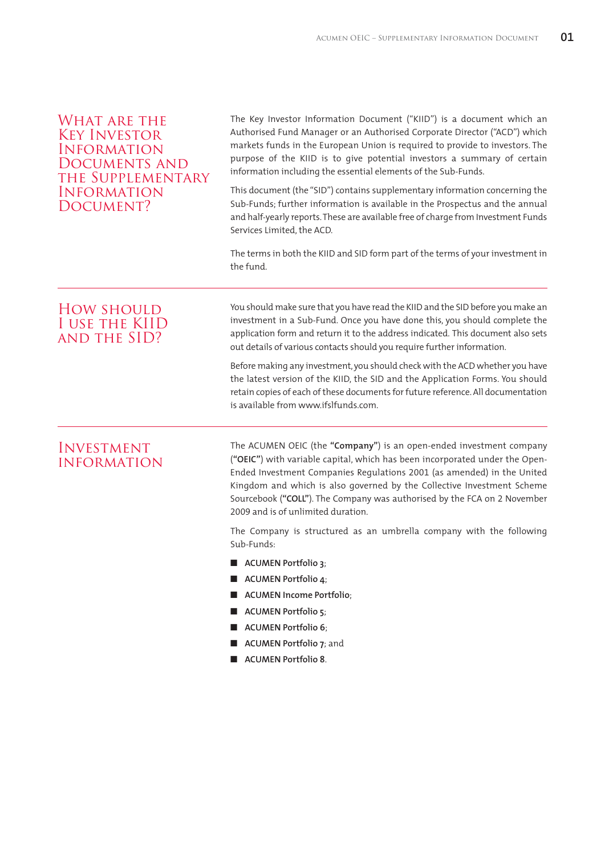#### WHAT ARE THE Key Investor Information Documents and the Supplementary Information DOCUMENT?

 The Key Investor Information Document ("KIID") is a document which an Authorised Fund Manager or an Authorised Corporate Director ("ACD") which markets funds in the European Union is required to provide to investors. The purpose of the KIID is to give potential investors a summary of certain information including the essential elements of the Sub-Funds.

This document (the "SID") contains supplementary information concerning the Sub-Funds; further information is available in the Prospectus and the annual and half-yearly reports. These are available free of charge from Investment Funds Services Limited, the ACD.

The terms in both the KIID and SID form part of the terms of your investment in the fund.

#### How should I use the KIID and the SID?

 You should make sure that you have read the KIID and the SID before you make an investment in a Sub-Fund. Once you have done this, you should complete the application form and return it to the address indicated. This document also sets out details of various contacts should you require further information.

Before making any investment, you should check with the ACD whether you have the latest version of the KIID, the SID and the Application Forms. You should retain copies of each of these documents for future reference. All documentation is available from www.ifslfunds.com.

#### Investment information

 The ACUMEN OEIC (the **"Company"**) is an open-ended investment company (**"OEIC"**) with variable capital, which has been incorporated under the Open-Ended Investment Companies Regulations 2001 (as amended) in the United Kingdom and which is also governed by the Collective Investment Scheme Sourcebook (**"COLL"**). The Company was authorised by the FCA on 2 November 2009 and is of unlimited duration.

The Company is structured as an umbrella company with the following Sub-Funds:

- **N** ACUMEN Portfolio 3:
- **n** ACUMEN Portfolio 4;
- n **ACUMEN Income Portfolio**;
- **ACUMEN Portfolio 5**;
- n **ACUMEN Portfolio 6**;
- **n** ACUMEN Portfolio 7: and
- **N** ACUMEN Portfolio 8.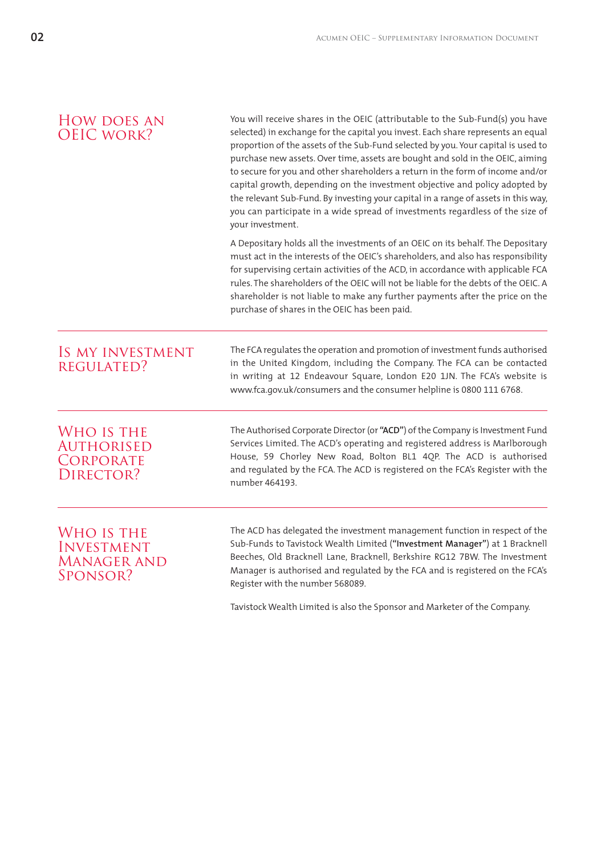| <b>HOW DOES AN</b><br><b>OEIC WORK?</b>                           | You will receive shares in the OEIC (attributable to the Sub-Fund(s) you have<br>selected) in exchange for the capital you invest. Each share represents an equal<br>proportion of the assets of the Sub-Fund selected by you. Your capital is used to<br>purchase new assets. Over time, assets are bought and sold in the OEIC, aiming<br>to secure for you and other shareholders a return in the form of income and/or<br>capital growth, depending on the investment objective and policy adopted by<br>the relevant Sub-Fund. By investing your capital in a range of assets in this way,<br>you can participate in a wide spread of investments regardless of the size of<br>your investment. |
|-------------------------------------------------------------------|------------------------------------------------------------------------------------------------------------------------------------------------------------------------------------------------------------------------------------------------------------------------------------------------------------------------------------------------------------------------------------------------------------------------------------------------------------------------------------------------------------------------------------------------------------------------------------------------------------------------------------------------------------------------------------------------------|
|                                                                   | A Depositary holds all the investments of an OEIC on its behalf. The Depositary<br>must act in the interests of the OEIC's shareholders, and also has responsibility<br>for supervising certain activities of the ACD, in accordance with applicable FCA<br>rules. The shareholders of the OEIC will not be liable for the debts of the OEIC. A<br>shareholder is not liable to make any further payments after the price on the<br>purchase of shares in the OEIC has been paid.                                                                                                                                                                                                                    |
| IS MY INVESTMENT<br><b>REGULATED?</b>                             | The FCA regulates the operation and promotion of investment funds authorised<br>in the United Kingdom, including the Company. The FCA can be contacted<br>in writing at 12 Endeavour Square, London E20 1JN. The FCA's website is<br>www.fca.gov.uk/consumers and the consumer helpline is 0800 111 6768.                                                                                                                                                                                                                                                                                                                                                                                            |
| WHO IS THE<br><b>AUTHORISED</b><br>CORPORATE<br>DIRECTOR?         | The Authorised Corporate Director (or "ACD") of the Company is Investment Fund<br>Services Limited. The ACD's operating and registered address is Marlborough<br>House, 59 Chorley New Road, Bolton BL1 4QP. The ACD is authorised<br>and regulated by the FCA. The ACD is registered on the FCA's Register with the<br>number 464193.                                                                                                                                                                                                                                                                                                                                                               |
| WHO IS THE<br><b>INVESTMENT</b><br><b>MANAGER AND</b><br>SPONSOR? | The ACD has delegated the investment management function in respect of the<br>Sub-Funds to Tavistock Wealth Limited ("Investment Manager") at 1 Bracknell<br>Beeches, Old Bracknell Lane, Bracknell, Berkshire RG12 7BW. The Investment<br>Manager is authorised and regulated by the FCA and is registered on the FCA's<br>Register with the number 568089.                                                                                                                                                                                                                                                                                                                                         |

Tavistock Wealth Limited is also the Sponsor and Marketer of the Company.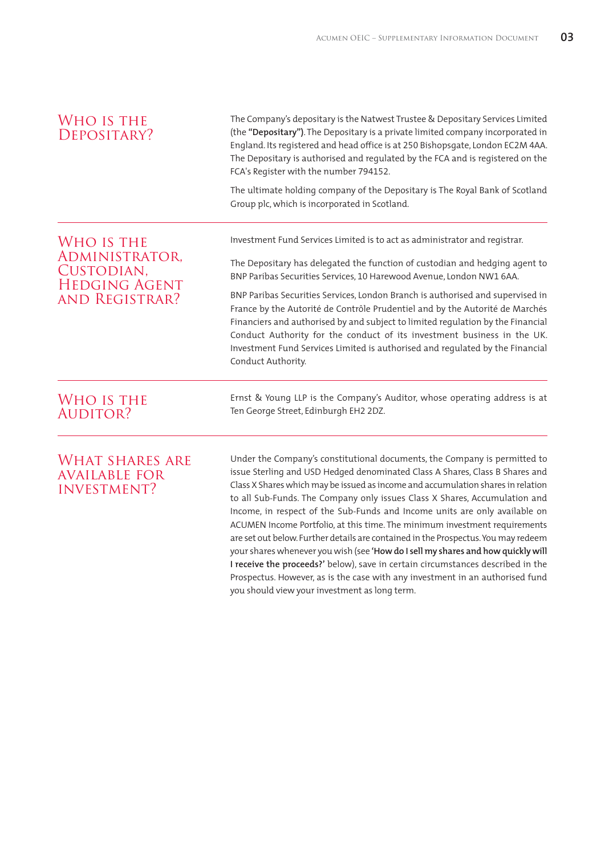| WHO IS THE<br>DEPOSITARY?                                            | The Company's depositary is the Natwest Trustee & Depositary Services Limited<br>(the "Depositary"). The Depositary is a private limited company incorporated in<br>England. Its registered and head office is at 250 Bishopsgate, London EC2M 4AA.<br>The Depositary is authorised and regulated by the FCA and is registered on the<br>FCA's Register with the number 794152.                                                                                                                                                                                                                                                                                                                                                                                                                                                                                                        |  |  |
|----------------------------------------------------------------------|----------------------------------------------------------------------------------------------------------------------------------------------------------------------------------------------------------------------------------------------------------------------------------------------------------------------------------------------------------------------------------------------------------------------------------------------------------------------------------------------------------------------------------------------------------------------------------------------------------------------------------------------------------------------------------------------------------------------------------------------------------------------------------------------------------------------------------------------------------------------------------------|--|--|
|                                                                      | The ultimate holding company of the Depositary is The Royal Bank of Scotland<br>Group plc, which is incorporated in Scotland.                                                                                                                                                                                                                                                                                                                                                                                                                                                                                                                                                                                                                                                                                                                                                          |  |  |
| WHO IS THE<br>ADMINISTRATOR,                                         | Investment Fund Services Limited is to act as administrator and registrar.                                                                                                                                                                                                                                                                                                                                                                                                                                                                                                                                                                                                                                                                                                                                                                                                             |  |  |
| CUSTODIAN,<br><b>HEDGING AGENT</b><br>AND REGISTRAR?                 | The Depositary has delegated the function of custodian and hedging agent to<br>BNP Paribas Securities Services, 10 Harewood Avenue, London NW1 6AA.                                                                                                                                                                                                                                                                                                                                                                                                                                                                                                                                                                                                                                                                                                                                    |  |  |
|                                                                      | BNP Paribas Securities Services, London Branch is authorised and supervised in<br>France by the Autorité de Contrôle Prudentiel and by the Autorité de Marchés<br>Financiers and authorised by and subject to limited regulation by the Financial<br>Conduct Authority for the conduct of its investment business in the UK.<br>Investment Fund Services Limited is authorised and regulated by the Financial<br>Conduct Authority.                                                                                                                                                                                                                                                                                                                                                                                                                                                    |  |  |
| WHO IS THE<br><b>AUDITOR?</b>                                        | Ernst & Young LLP is the Company's Auditor, whose operating address is at<br>Ten George Street, Edinburgh EH2 2DZ.                                                                                                                                                                                                                                                                                                                                                                                                                                                                                                                                                                                                                                                                                                                                                                     |  |  |
| <b>WHAT SHARES ARE</b><br><b>AVAILABLE FOR</b><br><b>INVESTMENT?</b> | Under the Company's constitutional documents, the Company is permitted to<br>issue Sterling and USD Hedged denominated Class A Shares, Class B Shares and<br>Class X Shares which may be issued as income and accumulation shares in relation<br>to all Sub-Funds. The Company only issues Class X Shares, Accumulation and<br>Income, in respect of the Sub-Funds and Income units are only available on<br>ACUMEN Income Portfolio, at this time. The minimum investment requirements<br>are set out below. Further details are contained in the Prospectus. You may redeem<br>your shares whenever you wish (see 'How do I sell my shares and how quickly will<br>I receive the proceeds?' below), save in certain circumstances described in the<br>Prospectus. However, as is the case with any investment in an authorised fund<br>you should view your investment as long term. |  |  |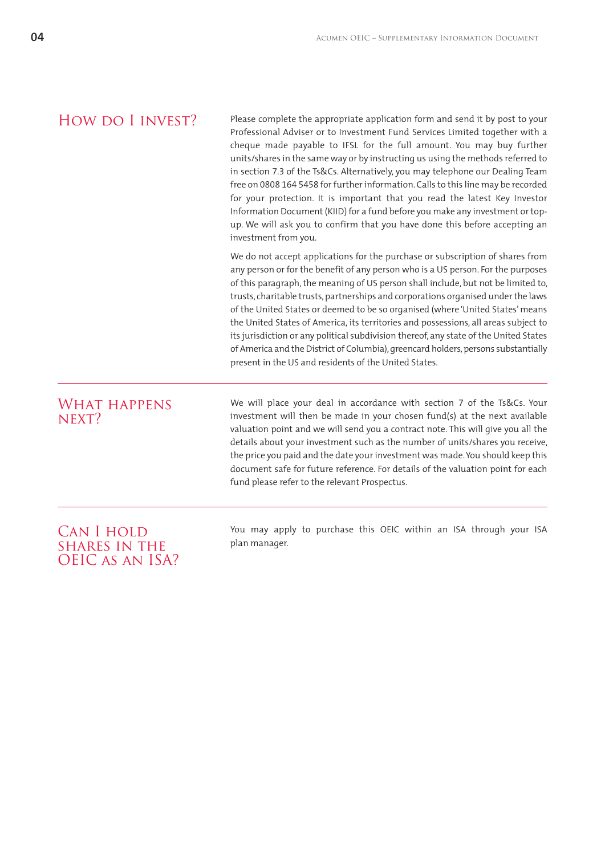#### HOW DO I INVEST?

 Please complete the appropriate application form and send it by post to your Professional Adviser or to Investment Fund Services Limited together with a cheque made payable to IFSL for the full amount. You may buy further units/shares in the same way or by instructing us using the methods referred to in section 7.3 of the Ts&Cs. Alternatively, you may telephone our Dealing Team free on 0808 164 5458 for further information. Calls to this line may be recorded for your protection. It is important that you read the latest Key Investor Information Document (KIID) for a fund before you make any investment or topup. We will ask you to confirm that you have done this before accepting an investment from you.

We do not accept applications for the purchase or subscription of shares from any person or for the benefit of any person who is a US person. For the purposes of this paragraph, the meaning of US person shall include, but not be limited to, trusts, charitable trusts, partnerships and corporations organised under the laws of the United States or deemed to be so organised (where 'United States' means the United States of America, its territories and possessions, all areas subject to its jurisdiction or any political subdivision thereof, any state of the United States of America and the District of Columbia), greencard holders, persons substantially present in the US and residents of the United States.

#### WHAT HAPPENS  $N$ FXT?

 We will place your deal in accordance with section 7 of the Ts&Cs. Your investment will then be made in your chosen fund(s) at the next available valuation point and we will send you a contract note. This will give you all the details about your investment such as the number of units/shares you receive, the price you paid and the date your investment was made. You should keep this document safe for future reference. For details of the valuation point for each fund please refer to the relevant Prospectus.

#### CAN I HOLD shares in the OEIC as an ISA?

 You may apply to purchase this OEIC within an ISA through your ISA plan manager.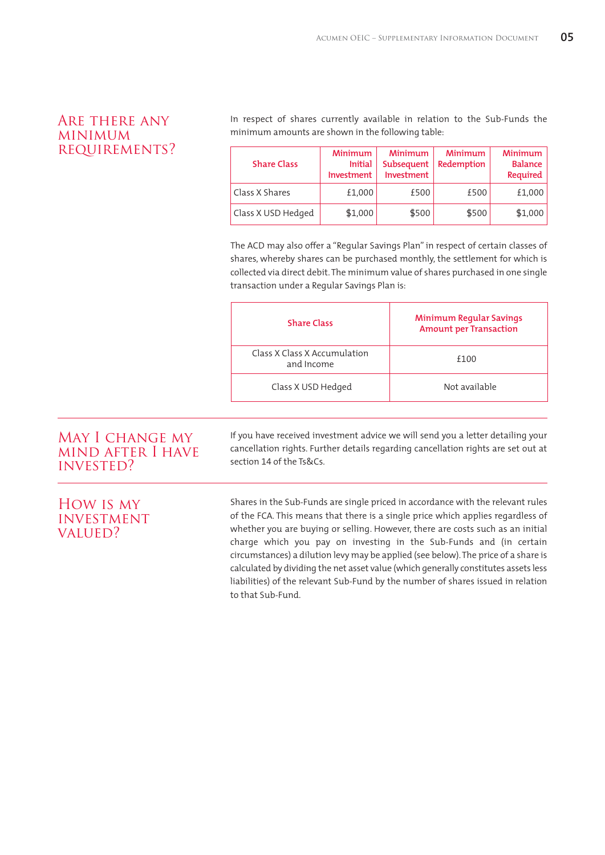#### Are there any minimum requirements?

 In respect of shares currently available in relation to the Sub-Funds the minimum amounts are shown in the following table:

| <b>Share Class</b> | <b>Minimum</b><br><b>Initial</b><br><b>Investment</b> | <b>Minimum</b><br>Subsequent<br>Investment | <b>Minimum</b><br>Redemption | <b>Minimum</b><br><b>Balance</b><br>Required |
|--------------------|-------------------------------------------------------|--------------------------------------------|------------------------------|----------------------------------------------|
| Class X Shares     | £1,000                                                | £500                                       | £500                         | £1,000                                       |
| Class X USD Hedged | \$1,000                                               | \$500                                      | \$500                        | \$1,000                                      |

The ACD may also offer a "Regular Savings Plan" in respect of certain classes of shares, whereby shares can be purchased monthly, the settlement for which is collected via direct debit. The minimum value of shares purchased in one single transaction under a Regular Savings Plan is:

| <b>Share Class</b>                         | <b>Minimum Regular Savings</b><br><b>Amount per Transaction</b> |
|--------------------------------------------|-----------------------------------------------------------------|
| Class X Class X Accumulation<br>and Income | £100                                                            |
| Class X USD Hedged                         | Not available                                                   |

#### MAY I CHANGE MY mind after I have invested?

How is my **INVESTMENT** VALUED?

 If you have received investment advice we will send you a letter detailing your cancellation rights. Further details regarding cancellation rights are set out at section 14 of the Ts&Cs.

 Shares in the Sub-Funds are single priced in accordance with the relevant rules of the FCA. This means that there is a single price which applies regardless of whether you are buying or selling. However, there are costs such as an initial charge which you pay on investing in the Sub-Funds and (in certain circumstances) a dilution levy may be applied (see below). The price of a share is calculated by dividing the net asset value (which generally constitutes assets less liabilities) of the relevant Sub-Fund by the number of shares issued in relation to that Sub-Fund.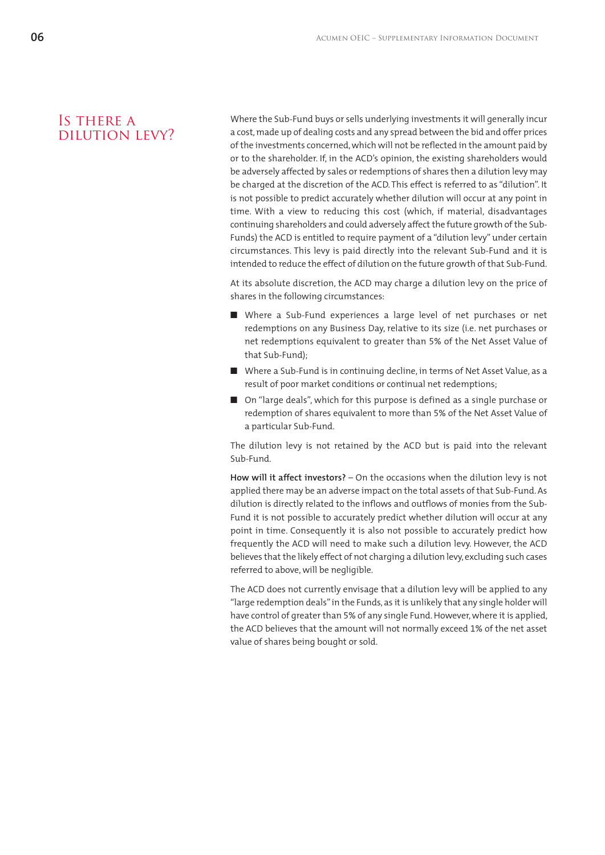#### Is there a dilution levy?

 Where the Sub-Fund buys or sells underlying investments it will generally incur a cost, made up of dealing costs and any spread between the bid and offer prices of the investments concerned, which will not be reflected in the amount paid by or to the shareholder. If, in the ACD's opinion, the existing shareholders would be adversely affected by sales or redemptions of shares then a dilution levy may be charged at the discretion of the ACD. This effect is referred to as "dilution". It is not possible to predict accurately whether dilution will occur at any point in time. With a view to reducing this cost (which, if material, disadvantages continuing shareholders and could adversely affect the future growth of the Sub-Funds) the ACD is entitled to require payment of a "dilution levy" under certain circumstances. This levy is paid directly into the relevant Sub-Fund and it is intended to reduce the effect of dilution on the future growth of that Sub-Fund.

At its absolute discretion, the ACD may charge a dilution levy on the price of shares in the following circumstances:

- Where a Sub-Fund experiences a large level of net purchases or net redemptions on any Business Day, relative to its size (i.e. net purchases or net redemptions equivalent to greater than 5% of the Net Asset Value of that Sub-Fund);
- Where a Sub-Fund is in continuing decline, in terms of Net Asset Value, as a result of poor market conditions or continual net redemptions;
- On "large deals", which for this purpose is defined as a single purchase or redemption of shares equivalent to more than 5% of the Net Asset Value of a particular Sub-Fund.

The dilution levy is not retained by the ACD but is paid into the relevant Sub-Fund.

**How will it affect investors?** – On the occasions when the dilution levy is not applied there may be an adverse impact on the total assets of that Sub-Fund. As dilution is directly related to the inflows and outflows of monies from the Sub-Fund it is not possible to accurately predict whether dilution will occur at any point in time. Consequently it is also not possible to accurately predict how frequently the ACD will need to make such a dilution levy. However, the ACD believes that the likely effect of not charging a dilution levy, excluding such cases referred to above, will be negligible.

The ACD does not currently envisage that a dilution levy will be applied to any "large redemption deals" in the Funds, as it is unlikely that any single holder will have control of greater than 5% of any single Fund. However, where it is applied, the ACD believes that the amount will not normally exceed 1% of the net asset value of shares being bought or sold.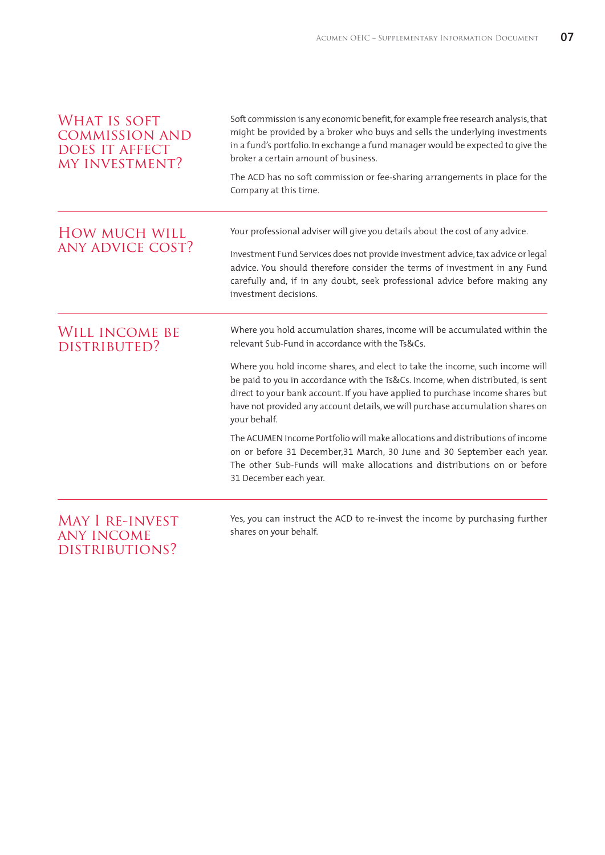| <b>WHAT IS SOFT</b><br><b>COMMISSION AND</b><br><b>DOES IT AFFECT</b><br>MY INVESTMENT? | Soft commission is any economic benefit, for example free research analysis, that<br>might be provided by a broker who buys and sells the underlying investments<br>in a fund's portfolio. In exchange a fund manager would be expected to give the<br>broker a certain amount of business.                                                                                                                                                                                        |  |
|-----------------------------------------------------------------------------------------|------------------------------------------------------------------------------------------------------------------------------------------------------------------------------------------------------------------------------------------------------------------------------------------------------------------------------------------------------------------------------------------------------------------------------------------------------------------------------------|--|
|                                                                                         | The ACD has no soft commission or fee-sharing arrangements in place for the<br>Company at this time.                                                                                                                                                                                                                                                                                                                                                                               |  |
| <b>HOW MUCH WILL</b><br><b>ANY ADVICE COST?</b>                                         | Your professional adviser will give you details about the cost of any advice.<br>Investment Fund Services does not provide investment advice, tax advice or legal<br>advice. You should therefore consider the terms of investment in any Fund<br>carefully and, if in any doubt, seek professional advice before making any<br>investment decisions.                                                                                                                              |  |
| WILL INCOME BE<br>DISTRIBUTED?                                                          | Where you hold accumulation shares, income will be accumulated within the<br>relevant Sub-Fund in accordance with the Ts&Cs.<br>Where you hold income shares, and elect to take the income, such income will<br>be paid to you in accordance with the Ts&Cs. Income, when distributed, is sent<br>direct to your bank account. If you have applied to purchase income shares but<br>have not provided any account details, we will purchase accumulation shares on<br>your behalf. |  |
|                                                                                         | The ACUMEN Income Portfolio will make allocations and distributions of income<br>on or before 31 December, 31 March, 30 June and 30 September each year.<br>The other Sub-Funds will make allocations and distributions on or before<br>31 December each year.                                                                                                                                                                                                                     |  |
| <b>MAY I RE-INVEST</b><br><b>ANY INCOME</b><br>DISTRIBUTIONS?                           | Yes, you can instruct the ACD to re-invest the income by purchasing further<br>shares on your behalf.                                                                                                                                                                                                                                                                                                                                                                              |  |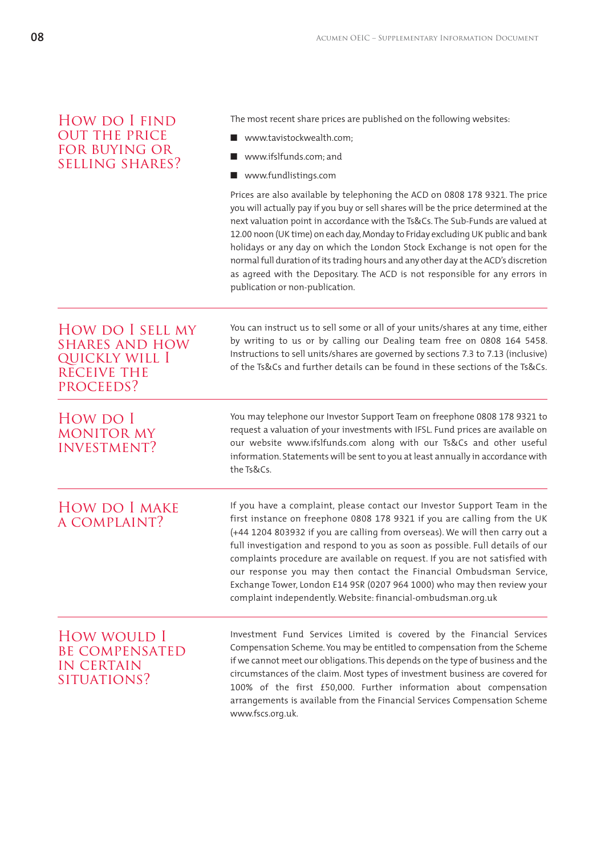| HOW DO I FIND          |  |
|------------------------|--|
| <b>OUT THE PRICE</b>   |  |
| FOR BUYING OR          |  |
| <b>SELLING SHARES?</b> |  |

The most recent share prices are published on the following websites:

- www.tavistockwealth.com;
- www.ifslfunds.com; and
- www.fundlistings.com

Prices are also available by telephoning the ACD on 0808 178 9321. The price you will actually pay if you buy or sell shares will be the price determined at the next valuation point in accordance with the Ts&Cs. The Sub-Funds are valued at 12.00 noon (UK time) on each day, Monday to Friday excluding UK public and bank holidays or any day on which the London Stock Exchange is not open for the normal full duration of its trading hours and any other day at the ACD's discretion as agreed with the Depositary. The ACD is not responsible for any errors in publication or non-publication.

 You can instruct us to sell some or all of your units/shares at any time, either by writing to us or by calling our Dealing team free on 0808 164 5458. Instructions to sell units/shares are governed by sections 7.3 to 7.13 (inclusive) of the Ts&Cs and further details can be found in these sections of the Ts&Cs.

#### How do I sell my shares and how quickly will I receive the proceeds?

How do I monitor my investment?

#### You may telephone our Investor Support Team on freephone 0808 178 9321 to request a valuation of your investments with IFSL. Fund prices are available on our website www.ifslfunds.com along with our Ts&Cs and other useful information. Statements will be sent to you at least annually in accordance with

 If you have a complaint, please contact our Investor Support Team in the first instance on freephone 0808 178 9321 if you are calling from the UK (+44 1204 803932 if you are calling from overseas). We will then carry out a full investigation and respond to you as soon as possible. Full details of our complaints procedure are available on request. If you are not satisfied with our response you may then contact the Financial Ombudsman Service, Exchange Tower, London E14 9SR (0207 964 1000) who may then review your complaint independently. Website: financial-ombudsman.org.uk How do I make a complaint?

the Ts&Cs.

#### How would I be compensated IN CERTAIN situations?

 Investment Fund Services Limited is covered by the Financial Services Compensation Scheme. You may be entitled to compensation from the Scheme if we cannot meet our obligations. This depends on the type of business and the circumstances of the claim. Most types of investment business are covered for 100% of the first £50,000. Further information about compensation arrangements is available from the Financial Services Compensation Scheme www.fscs.org.uk.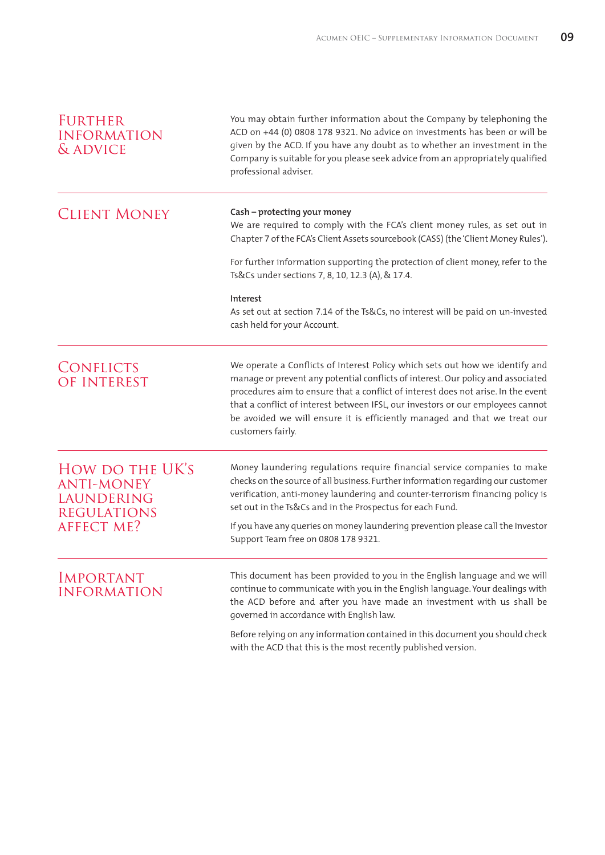| <b>FURTHER</b><br><b>INFORMATION</b><br>& ADVICE                         | You may obtain further information about the Company by telephoning the<br>ACD on +44 (0) 0808 178 9321. No advice on investments has been or will be<br>given by the ACD. If you have any doubt as to whether an investment in the<br>Company is suitable for you please seek advice from an appropriately qualified<br>professional adviser.                                                                                             |
|--------------------------------------------------------------------------|--------------------------------------------------------------------------------------------------------------------------------------------------------------------------------------------------------------------------------------------------------------------------------------------------------------------------------------------------------------------------------------------------------------------------------------------|
| <b>CLIENT MONEY</b>                                                      | Cash - protecting your money<br>We are required to comply with the FCA's client money rules, as set out in<br>Chapter 7 of the FCA's Client Assets sourcebook (CASS) (the 'Client Money Rules').                                                                                                                                                                                                                                           |
|                                                                          | For further information supporting the protection of client money, refer to the<br>Ts&Cs under sections 7, 8, 10, 12.3 (A), & 17.4.                                                                                                                                                                                                                                                                                                        |
|                                                                          | Interest<br>As set out at section 7.14 of the Ts&Cs, no interest will be paid on un-invested<br>cash held for your Account.                                                                                                                                                                                                                                                                                                                |
| <b>CONFLICTS</b><br>OF INTEREST                                          | We operate a Conflicts of Interest Policy which sets out how we identify and<br>manage or prevent any potential conflicts of interest. Our policy and associated<br>procedures aim to ensure that a conflict of interest does not arise. In the event<br>that a conflict of interest between IFSL, our investors or our employees cannot<br>be avoided we will ensure it is efficiently managed and that we treat our<br>customers fairly. |
| HOW DO THE UK'S<br><b>ANTI-MONEY</b><br>LAUNDERING<br><b>REGULATIONS</b> | Money laundering regulations require financial service companies to make<br>checks on the source of all business. Further information regarding our customer<br>verification, anti-money laundering and counter-terrorism financing policy is<br>set out in the Ts&Cs and in the Prospectus for each Fund.                                                                                                                                 |
| <b>AFFECT ME?</b>                                                        | If you have any queries on money laundering prevention please call the Investor<br>Support Team free on 0808 178 9321.                                                                                                                                                                                                                                                                                                                     |
| <b>IMPORTANT</b><br><b>INFORMATION</b>                                   | This document has been provided to you in the English language and we will<br>continue to communicate with you in the English language. Your dealings with<br>the ACD before and after you have made an investment with us shall be<br>governed in accordance with English law.                                                                                                                                                            |
|                                                                          | Before relying on any information contained in this document you should check<br>with the ACD that this is the most recently published version.                                                                                                                                                                                                                                                                                            |